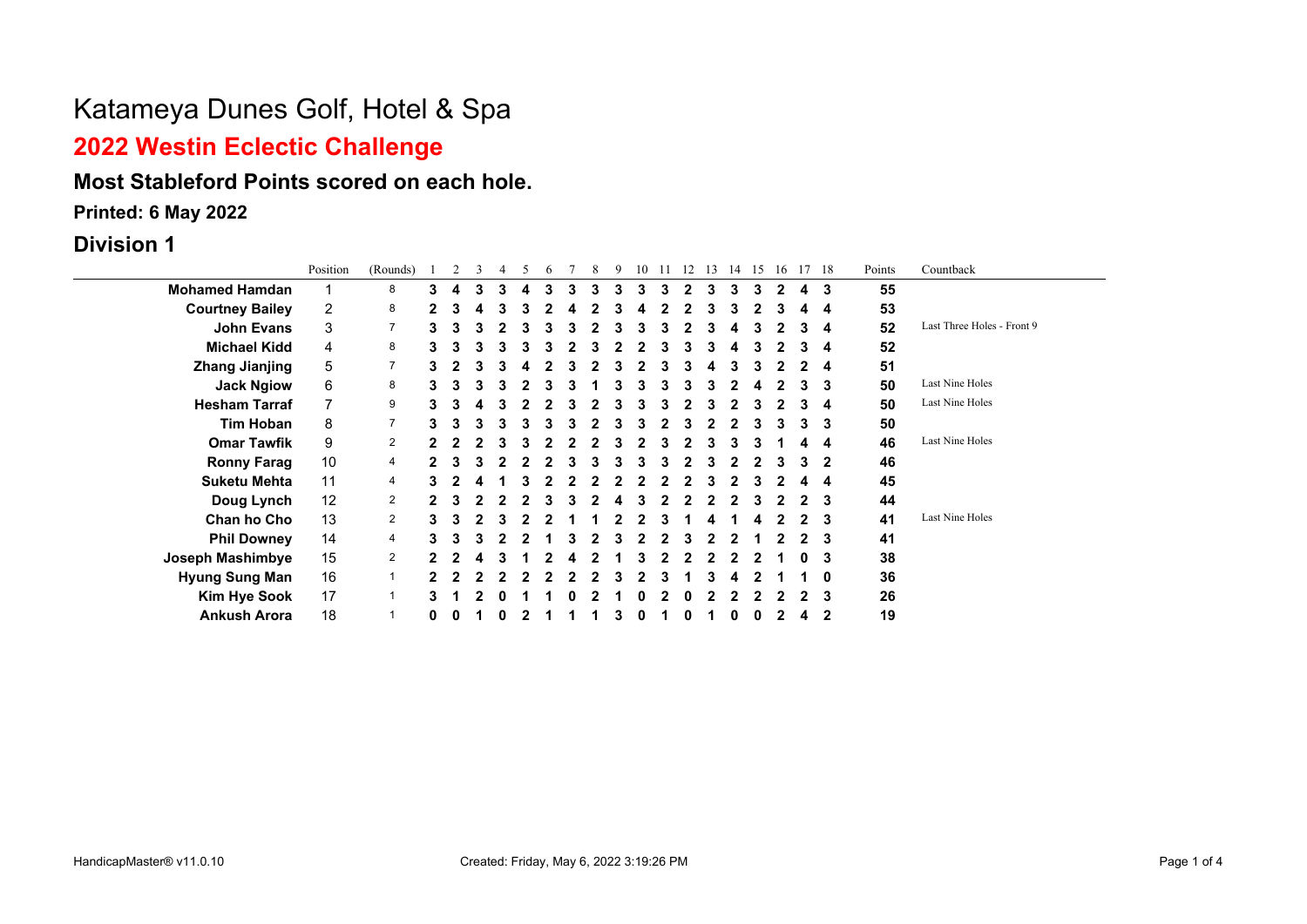# **2022 Westin Eclectic Challenge**

### **Most Stableford Points scored on each hole.**

**Printed: 6 May 2022**

### **Division 1**

|                        | Position       | (Rounds)       |   |   |   |   |   |   |    | 9 | 10 |   | 12           | 13 | 14 | 15 | -16 | 17 18        | Points | Countback                  |
|------------------------|----------------|----------------|---|---|---|---|---|---|----|---|----|---|--------------|----|----|----|-----|--------------|--------|----------------------------|
| <b>Mohamed Hamdan</b>  |                | 8              | 3 |   | 3 | 4 | 3 | 3 | З. | 3 | 3  | 3 | $\mathbf{2}$ | 3  | 3  | 3  | 2   | 3            | 55     |                            |
| <b>Courtney Bailey</b> | $\overline{2}$ | 8              |   | 3 |   |   |   |   |    |   |    |   |              |    |    |    |     | 4            | 53     |                            |
| <b>John Evans</b>      | 3              | $\overline{7}$ | 3 | 3 | 3 |   |   |   |    |   |    |   |              |    |    |    |     | 4            | 52     | Last Three Holes - Front 9 |
| <b>Michael Kidd</b>    | 4              | 8              | 3 |   | 3 |   |   |   |    |   |    |   |              |    | 4  |    |     | 4            | 52     |                            |
| <b>Zhang Jianjing</b>  | 5              | $\overline{7}$ | 3 |   |   |   |   |   |    |   |    |   |              |    | 3  |    |     | 4            | 51     |                            |
| <b>Jack Ngiow</b>      | 6              | 8              | 3 |   |   |   |   |   |    |   |    |   |              |    |    |    |     | 3            | 50     | Last Nine Holes            |
| <b>Hesham Tarraf</b>   |                | 9              | 3 |   |   |   |   |   |    |   |    |   |              |    |    |    |     | 4            | 50     | Last Nine Holes            |
| <b>Tim Hoban</b>       | 8              | $\overline{7}$ | 3 |   |   |   |   |   |    |   |    |   |              |    |    |    |     | 3            | 50     |                            |
| <b>Omar Tawfik</b>     | 9              | $\overline{2}$ |   |   |   |   |   |   |    |   |    |   |              |    |    |    |     | 4            | 46     | Last Nine Holes            |
| <b>Ronny Farag</b>     | 10             | $\overline{4}$ |   |   |   |   |   |   |    |   |    |   |              |    |    |    |     | $\mathbf 2$  | 46     |                            |
| <b>Suketu Mehta</b>    | 11             | $\overline{4}$ | 3 |   |   |   |   |   |    |   |    |   |              |    |    |    |     | 4            | 45     |                            |
| Doug Lynch             | 12             | $\overline{2}$ |   |   |   |   |   |   |    |   |    |   |              |    |    |    |     | 3            | 44     |                            |
| Chan ho Cho            | 13             | $\overline{2}$ | 3 |   |   |   |   |   |    |   |    |   |              |    |    |    |     | 3            | 41     | Last Nine Holes            |
| <b>Phil Downey</b>     | 14             | 4              | 3 | з |   |   |   |   |    |   |    |   |              |    |    |    |     | 3            | 41     |                            |
| Joseph Mashimbye       | 15             | $\overline{2}$ |   |   |   |   |   |   |    |   |    |   |              |    |    |    |     | 3            | 38     |                            |
| <b>Hyung Sung Man</b>  | 16             |                |   |   |   |   |   |   |    |   |    |   |              |    |    |    |     | 0            | 36     |                            |
| <b>Kim Hye Sook</b>    | 17             |                |   |   |   |   |   |   |    |   |    |   |              |    |    |    |     | 3            | 26     |                            |
| <b>Ankush Arora</b>    | 18             |                | 0 |   |   |   |   |   |    |   |    |   |              |    |    |    |     | $\mathbf{2}$ | 19     |                            |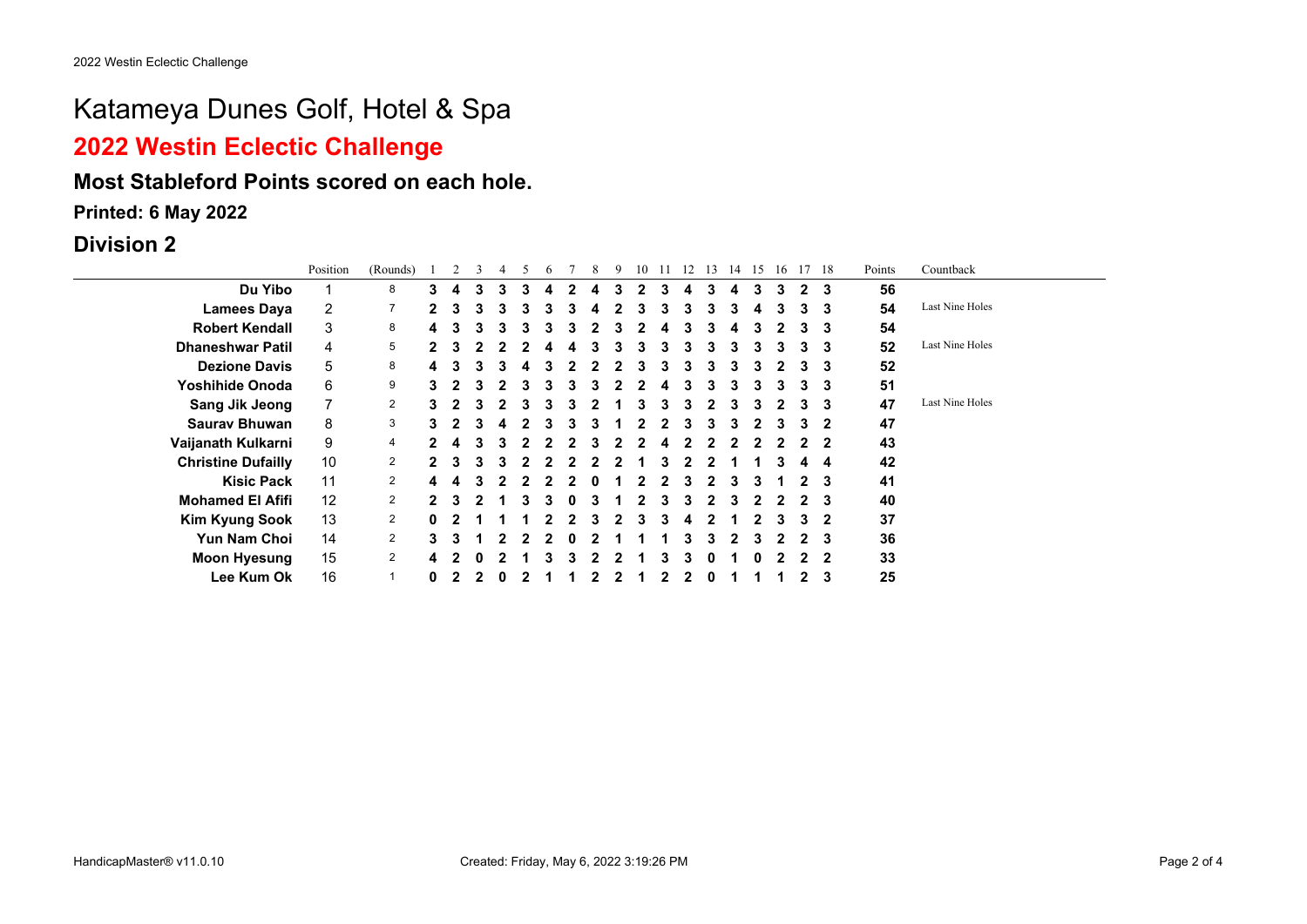## **2022 Westin Eclectic Challenge**

### **Most Stableford Points scored on each hole.**

**Printed: 6 May 2022**

#### **Division 2**

|                           | Position       | (Rounds)       |    |    |   |   |   |   |   |   |   | 10 |   | 12 | 13 | 14 | 15 | 16 | 17 | - 18 | Points | Countback       |
|---------------------------|----------------|----------------|----|----|---|---|---|---|---|---|---|----|---|----|----|----|----|----|----|------|--------|-----------------|
| Du Yibo                   |                | 8              | 3  | 4  | 3 | 3 | з |   | 2 | 4 | З | 2  | З | 4  | 3  | 4  |    | 3  |    | 3    | 56     |                 |
| <b>Lamees Daya</b>        | $\overline{2}$ | 7              | 2  | 3  | 3 | 3 | з | 3 | з | 4 |   | 3  | 3 | 3  | 3  | 3  | 4  | 3  | з  | 3    | 54     | Last Nine Holes |
| <b>Robert Kendall</b>     | 3              | 8              | 4  | 3  | з |   | 3 |   | з | 2 |   |    |   | 3  |    | 4  |    |    |    | 3    | 54     |                 |
| <b>Dhaneshwar Patil</b>   | 4              | 5              | 2  | з. | 2 |   |   |   |   | 3 | 3 | 3  | 3 | 3  | 3  | 3  | 3  | 3  | 3  | 3    | 52     | Last Nine Holes |
| <b>Dezione Davis</b>      | 5              | 8              | 4  |    | з | з |   |   |   |   | 2 | 3  | 3 | 3  | 3  | 3  |    |    |    | 3    | 52     |                 |
| Yoshihide Onoda           | 6              | 9              | 3  |    | 3 |   |   |   | з | 3 |   |    | 4 | 3  |    | 3  |    | з  |    | 3    | 51     |                 |
| <b>Sang Jik Jeong</b>     |                | 2              | 3  |    | 3 | 2 | з | 3 | з | 2 |   | 3  | з | 3  | 2  | 3  |    |    |    | -3   | 47     | Last Nine Holes |
| <b>Sauray Bhuwan</b>      | 8              | 3              | 3. |    | 3 |   |   |   |   |   |   |    |   |    |    |    |    |    |    | 2    | 47     |                 |
| Vaijanath Kulkarni        | 9              | 4              |    |    | з |   |   |   |   | 3 |   |    | 4 |    |    |    |    |    |    | 2    | 43     |                 |
| <b>Christine Dufailly</b> | 10             | $\overline{2}$ | 2. | З. | 3 | з |   |   |   | 2 | 2 |    |   |    |    |    |    | 3  |    | -4   | 42     |                 |
| <b>Kisic Pack</b>         | 11             | $\overline{2}$ | 4  |    | 3 |   |   |   |   | o |   |    |   | 3  |    | 3  |    |    |    | 3    | 41     |                 |
| <b>Mohamed El Afifi</b>   | 12             | $\overline{2}$ | 2. | 3  |   |   |   |   |   | 3 |   |    |   | 3  |    |    |    |    |    | 3    | 40     |                 |
| <b>Kim Kyung Sook</b>     | 13             | $\mathbf{2}$   | 0  |    |   |   |   |   |   |   |   |    |   | 4  |    |    |    |    |    | 2    | 37     |                 |
| <b>Yun Nam Choi</b>       | 14             | $\overline{2}$ | 3  | з  |   |   |   |   | 0 |   |   |    |   | 3  | 3  | 2  | з  |    |    | 3    | 36     |                 |
| <b>Moon Hyesung</b>       | 15             | $\mathbf{2}$   | 4  |    |   |   |   |   |   |   |   |    |   |    | 0  |    |    |    |    | 2    | 33     |                 |
| Lee Kum Ok                | 16             | 1              | 0  |    |   |   |   |   |   |   |   |    |   |    |    |    |    |    |    | 3    | 25     |                 |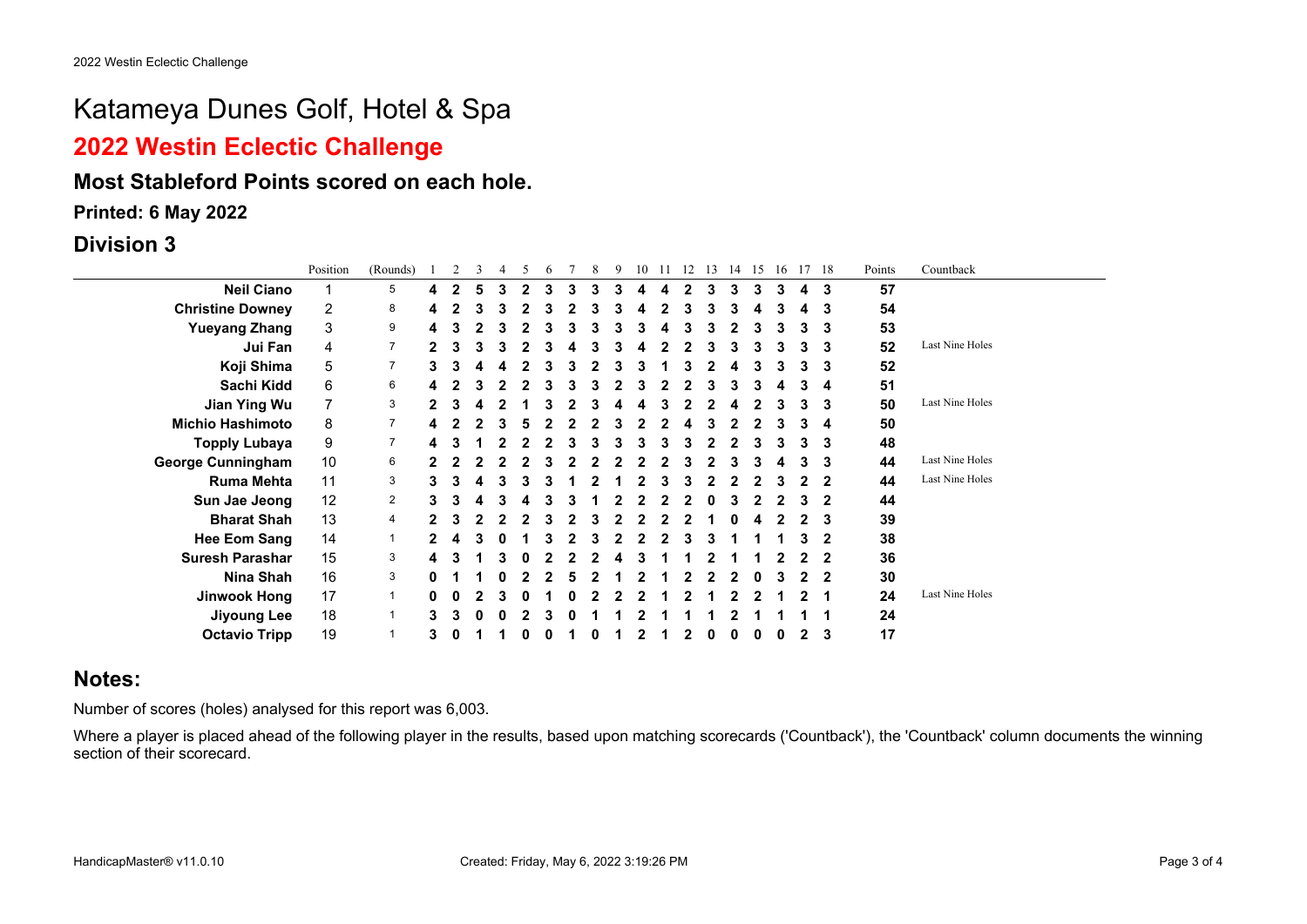### **2022 Westin Eclectic Challenge**

#### **Most Stableford Points scored on each hole.**

**Printed: 6 May 2022**

**Division 3**

|                          | Position     | (Rounds)       |   |                | 3 | 5 | 6 |   | 8 | 9 | 10 | -11 | 12 | 13 | 14 | 15 | 16 | 17 18          | Points | Countback       |
|--------------------------|--------------|----------------|---|----------------|---|---|---|---|---|---|----|-----|----|----|----|----|----|----------------|--------|-----------------|
| <b>Neil Ciano</b>        |              | 5              | 4 | $\overline{2}$ | 5 | 2 | 3 | 3 | 3 |   |    |     |    |    | 3  | 3  | 3  | 3              | 57     |                 |
| <b>Christine Downey</b>  | $\mathbf{2}$ | 8              | 4 |                |   |   |   |   |   |   |    |     |    |    | 3  |    |    | 3              | 54     |                 |
| <b>Yueyang Zhang</b>     | 3            | 9              | 4 |                |   |   |   |   |   |   |    |     |    |    |    |    |    | 3              | 53     |                 |
| Jui Fan                  | 4            | $\overline{7}$ |   |                | 3 |   |   |   |   |   |    |     |    |    | 3  |    | 3  | 3              | 52     | Last Nine Holes |
| Koji Shima               | 5            | $\overline{7}$ | 3 |                | 4 |   |   |   |   |   |    |     |    |    | 4  |    |    | 3              | 52     |                 |
| Sachi Kidd               | 6            | 6              | 4 |                |   |   |   | 3 |   |   |    |     |    |    | 3  | з  |    | 4              | 51     |                 |
| Jian Ying Wu             | 7            | 3              |   |                |   |   |   |   |   |   |    |     |    |    |    |    | 3  | 3              | 50     | Last Nine Holes |
| <b>Michio Hashimoto</b>  | 8            | 7              |   |                |   |   |   |   |   |   |    |     |    |    |    |    |    | 4              | 50     |                 |
| <b>Topply Lubaya</b>     | 9            | $\overline{7}$ | 4 |                |   |   |   |   |   |   |    |     |    |    |    |    |    | 3              | 48     |                 |
| <b>George Cunningham</b> | 10           | 6              |   |                |   |   |   |   |   |   |    |     |    |    | З  |    |    | 3              | 44     | Last Nine Holes |
| <b>Ruma Mehta</b>        | 11           | 3              |   |                |   |   |   |   |   |   |    |     |    |    |    |    |    | 2              | 44     | Last Nine Holes |
| Sun Jae Jeong            | 12           | 2              |   |                |   |   |   |   |   |   |    |     |    |    |    |    |    | 2              | 44     |                 |
| <b>Bharat Shah</b>       | 13           | 4              |   |                |   |   |   |   |   |   |    |     |    |    |    |    |    | 3              | 39     |                 |
| <b>Hee Eom Sang</b>      | 14           | $\mathbf 1$    |   |                | 3 |   |   |   |   |   |    |     |    |    |    |    |    | 2              | 38     |                 |
| <b>Suresh Parashar</b>   | 15           | 3              | 4 |                |   |   |   |   |   |   |    |     |    |    |    |    |    | $\overline{2}$ | 36     |                 |
| Nina Shah                | 16           | 3              |   |                |   |   |   | 5 |   |   |    |     |    |    |    |    |    | -2             | 30     |                 |
| Jinwook Hong             | 17           | $\mathbf{1}$   |   |                |   |   |   |   |   |   |    |     |    |    |    |    |    | 1              | 24     | Last Nine Holes |
| <b>Jiyoung Lee</b>       | 18           |                |   |                |   |   |   |   |   |   |    |     |    |    |    |    |    | 1              | 24     |                 |
| <b>Octavio Tripp</b>     | 19           |                | 3 |                |   |   |   |   |   |   |    |     |    |    |    |    | o  | 3              | 17     |                 |

### **Notes:**

Number of scores (holes) analysed for this report was 6,003.

Where a player is placed ahead of the following player in the results, based upon matching scorecards ('Countback'), the 'Countback' column documents the winning section of their scorecard.